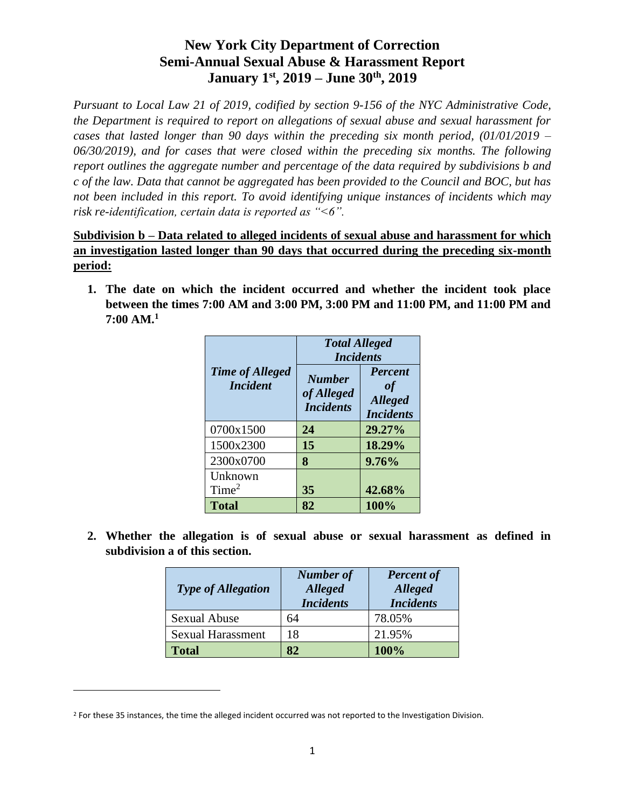*Pursuant to Local Law 21 of 2019, codified by section 9-156 of the NYC Administrative Code, the Department is required to report on allegations of sexual abuse and sexual harassment for cases that lasted longer than 90 days within the preceding six month period, (01/01/2019 – 06/30/2019), and for cases that were closed within the preceding six months. The following report outlines the aggregate number and percentage of the data required by subdivisions b and c of the law. Data that cannot be aggregated has been provided to the Council and BOC, but has not been included in this report. To avoid identifying unique instances of incidents which may risk re-identification, certain data is reported as "<6".*

### **Subdivision b – Data related to alleged incidents of sexual abuse and harassment for which an investigation lasted longer than 90 days that occurred during the preceding six-month period:**

**1. The date on which the incident occurred and whether the incident took place between the times 7:00 AM and 3:00 PM, 3:00 PM and 11:00 PM, and 11:00 PM and 7:00 AM.<sup>1</sup>**

|                                           | <b>Total Alleged</b><br><b>Incidents</b>        |                                                                   |
|-------------------------------------------|-------------------------------------------------|-------------------------------------------------------------------|
| <b>Time of Alleged</b><br><i>Incident</i> | <b>Number</b><br>of Alleged<br><b>Incidents</b> | <b>Percent</b><br><b>of</b><br><b>Alleged</b><br><b>Incidents</b> |
| 0700x1500                                 | 24                                              | 29.27%                                                            |
| 1500x2300                                 | 15                                              | 18.29%                                                            |
| 2300x0700                                 | 8                                               | 9.76%                                                             |
| Unknown                                   |                                                 |                                                                   |
| Time <sup>2</sup>                         | 35                                              | 42.68%                                                            |
| <b>Total</b>                              | 82                                              | 100%                                                              |

**2. Whether the allegation is of sexual abuse or sexual harassment as defined in subdivision a of this section.** 

| <b>Type of Allegation</b> | <b>Number of</b><br><b>Alleged</b><br><b>Incidents</b> | <b>Percent of</b><br><b>Alleged</b><br><b>Incidents</b> |
|---------------------------|--------------------------------------------------------|---------------------------------------------------------|
| <b>Sexual Abuse</b>       | 64                                                     | 78.05%                                                  |
| <b>Sexual Harassment</b>  | 18                                                     | 21.95%                                                  |
| <b>Total</b>              | 82                                                     | 100%                                                    |

<sup>&</sup>lt;sup>2</sup> For these 35 instances, the time the alleged incident occurred was not reported to the Investigation Division.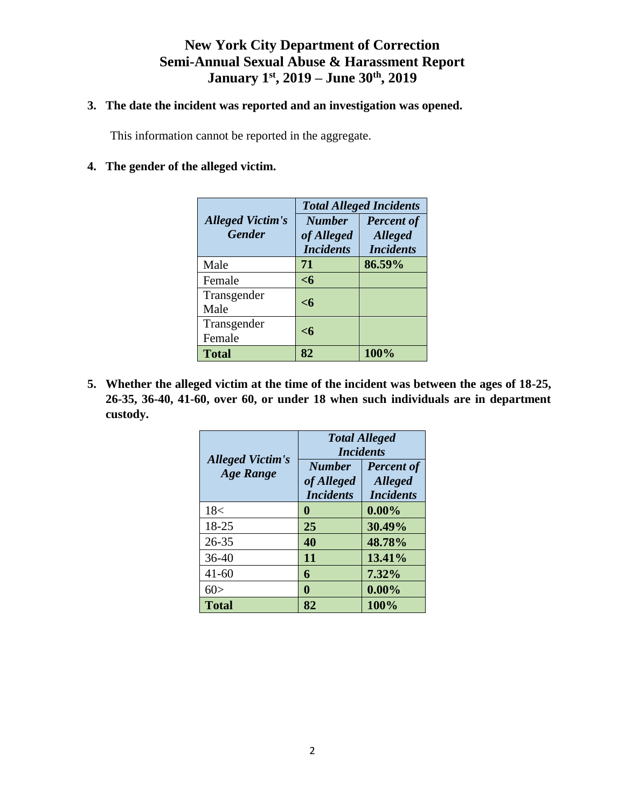### **3. The date the incident was reported and an investigation was opened.**

This information cannot be reported in the aggregate.

### **4. The gender of the alleged victim.**

|                                          |                                                 | <b>Total Alleged Incidents</b>                          |
|------------------------------------------|-------------------------------------------------|---------------------------------------------------------|
| <b>Alleged Victim's</b><br><b>Gender</b> | <b>Number</b><br>of Alleged<br><b>Incidents</b> | <b>Percent of</b><br><b>Alleged</b><br><b>Incidents</b> |
| Male                                     | 71                                              | 86.59%                                                  |
| Female                                   | $<$ 6                                           |                                                         |
| Transgender<br>Male                      | $\leq 6$                                        |                                                         |
| Transgender<br>Female                    | $<$ 6                                           |                                                         |
| <b>Total</b>                             | 82                                              | 100%                                                    |

**5. Whether the alleged victim at the time of the incident was between the ages of 18-25, 26-35, 36-40, 41-60, over 60, or under 18 when such individuals are in department custody.**

|                                             | <b>Total Alleged</b><br><i>Incidents</i>        |                                                         |
|---------------------------------------------|-------------------------------------------------|---------------------------------------------------------|
| <b>Alleged Victim's</b><br><b>Age Range</b> | <b>Number</b><br>of Alleged<br><b>Incidents</b> | <b>Percent of</b><br><b>Alleged</b><br><b>Incidents</b> |
| 18<                                         | 0                                               | $0.00\%$                                                |
| 18-25                                       | 25                                              | 30.49%                                                  |
| $26 - 35$                                   | 40                                              | 48.78%                                                  |
| $36-40$                                     | 11                                              | 13.41%                                                  |
| $41 - 60$                                   | 6                                               | 7.32%                                                   |
| 60>                                         | 0                                               | $0.00\%$                                                |
| <b>Total</b>                                | 82                                              | 100%                                                    |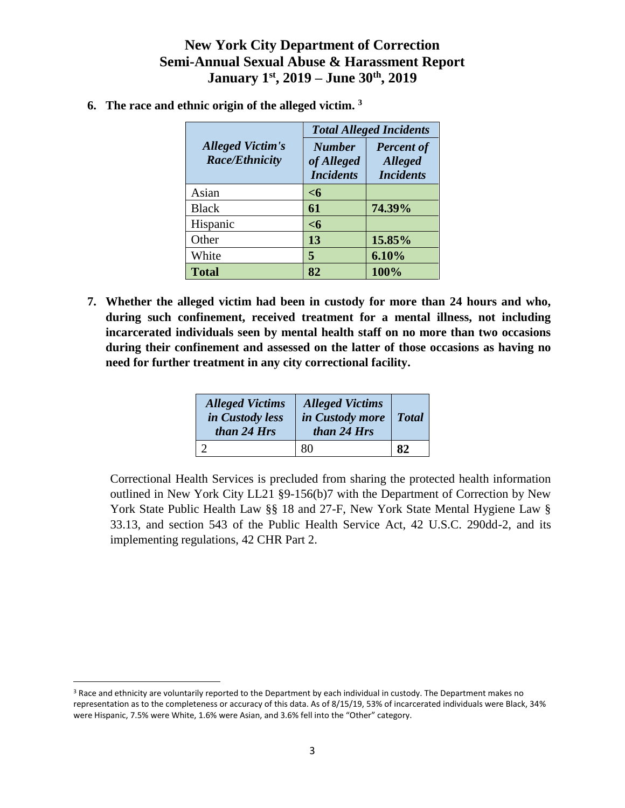|                                                  | <b>Total Alleged Incidents</b>                  |                                                         |
|--------------------------------------------------|-------------------------------------------------|---------------------------------------------------------|
| <b>Alleged Victim's</b><br><b>Race/Ethnicity</b> | <b>Number</b><br>of Alleged<br><b>Incidents</b> | <b>Percent of</b><br><b>Alleged</b><br><b>Incidents</b> |
| Asian                                            | $<$ 6                                           |                                                         |
| <b>Black</b>                                     | 61                                              | 74.39%                                                  |
| Hispanic                                         | $<$ 6                                           |                                                         |
| Other                                            | 13                                              | 15.85%                                                  |
| White                                            | 5                                               | 6.10%                                                   |
| <b>Total</b>                                     | 82                                              | 100%                                                    |

**6. The race and ethnic origin of the alleged victim. <sup>3</sup>**

**7. Whether the alleged victim had been in custody for more than 24 hours and who, during such confinement, received treatment for a mental illness, not including incarcerated individuals seen by mental health staff on no more than two occasions during their confinement and assessed on the latter of those occasions as having no need for further treatment in any city correctional facility.**

| <b>Alleged Victims</b><br>in Custody less<br>than 24 Hrs | <b>Alleged Victims</b><br>in Custody more<br>than 24 Hrs | <b>Total</b> |
|----------------------------------------------------------|----------------------------------------------------------|--------------|
|                                                          |                                                          |              |

Correctional Health Services is precluded from sharing the protected health information outlined in New York City LL21 §9-156(b)7 with the Department of Correction by New York State Public Health Law §§ 18 and 27-F, New York State Mental Hygiene Law § 33.13, and section 543 of the Public Health Service Act, 42 U.S.C. 290dd-2, and its implementing regulations, 42 CHR Part 2.

<sup>&</sup>lt;sup>3</sup> Race and ethnicity are voluntarily reported to the Department by each individual in custody. The Department makes no representation as to the completeness or accuracy of this data. As of 8/15/19, 53% of incarcerated individuals were Black, 34% were Hispanic, 7.5% were White, 1.6% were Asian, and 3.6% fell into the "Other" category.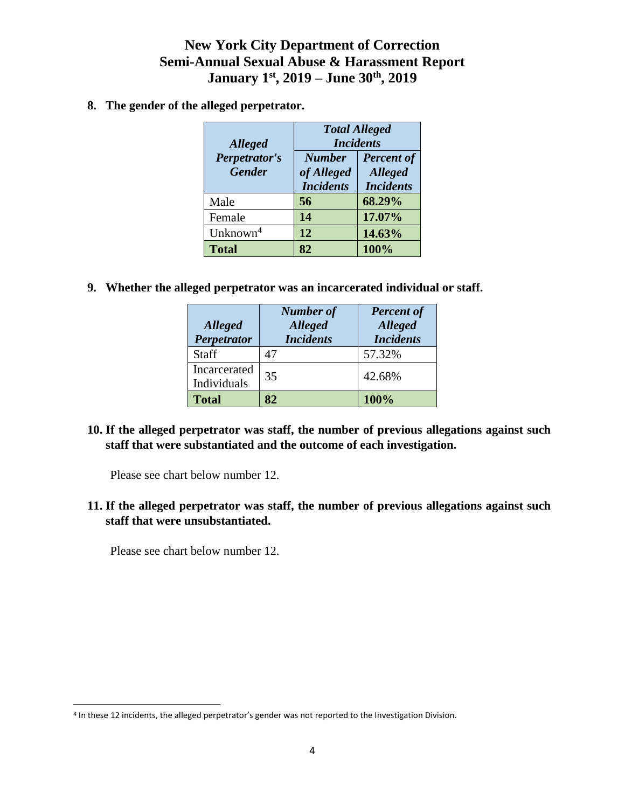**8. The gender of the alleged perpetrator.** 

| <b>Alleged</b>                 | <b>Total Alleged</b><br><b>Incidents</b>        |                                                         |
|--------------------------------|-------------------------------------------------|---------------------------------------------------------|
| Perpetrator's<br><b>Gender</b> | <b>Number</b><br>of Alleged<br><b>Incidents</b> | <b>Percent of</b><br><b>Alleged</b><br><b>Incidents</b> |
| Male                           | 56                                              | 68.29%                                                  |
| Female                         | 14                                              | 17.07%                                                  |
| Unknown <sup>4</sup>           | 12                                              | 14.63%                                                  |
| <b>Total</b>                   | 82                                              | 100%                                                    |

**9. Whether the alleged perpetrator was an incarcerated individual or staff.** 

| <b>Alleged</b><br><b>Perpetrator</b> | <b>Number of</b><br><b>Alleged</b><br><b>Incidents</b> | <b>Percent of</b><br><b>Alleged</b><br><b>Incidents</b> |
|--------------------------------------|--------------------------------------------------------|---------------------------------------------------------|
| Staff                                | 47                                                     | 57.32%                                                  |
| Incarcerated<br>Individuals          | 35                                                     | 42.68%                                                  |
| <b>Total</b>                         | 82                                                     | 100%                                                    |

### **10. If the alleged perpetrator was staff, the number of previous allegations against such staff that were substantiated and the outcome of each investigation.**

Please see chart below number 12.

**11. If the alleged perpetrator was staff, the number of previous allegations against such staff that were unsubstantiated.** 

Please see chart below number 12.

l

<sup>4</sup> In these 12 incidents, the alleged perpetrator's gender was not reported to the Investigation Division.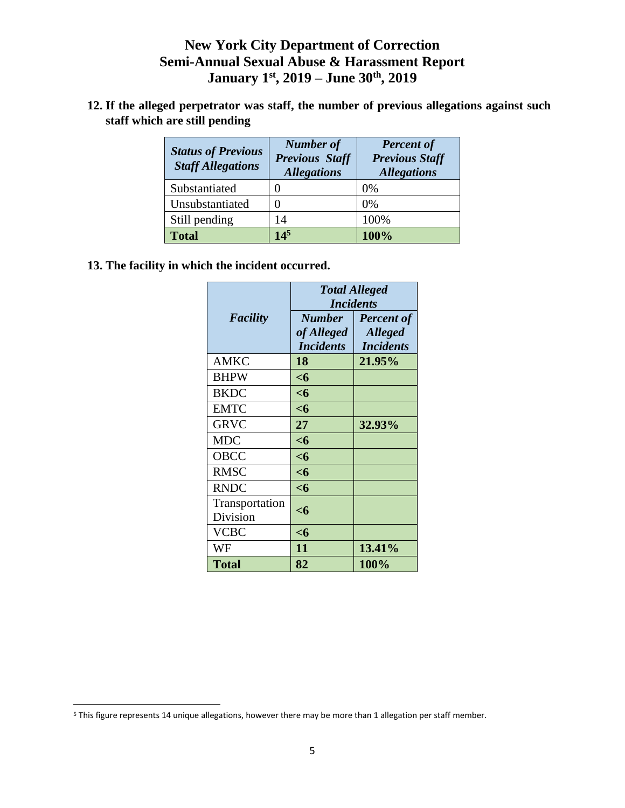**12. If the alleged perpetrator was staff, the number of previous allegations against such staff which are still pending** 

| <b>Status of Previous</b><br><b>Staff Allegations</b> | <b>Number of</b><br><b>Previous Staff</b><br><b>Allegations</b> | <b>Percent of</b><br><b>Previous Staff</b><br><b>Allegations</b> |
|-------------------------------------------------------|-----------------------------------------------------------------|------------------------------------------------------------------|
| Substantiated                                         |                                                                 | 0%                                                               |
| Unsubstantiated                                       |                                                                 | $0\%$                                                            |
| Still pending                                         | 14                                                              | 100%                                                             |
| <b>Total</b>                                          | $14^{5}$                                                        | 100%                                                             |

**13. The facility in which the incident occurred.** 

|                            | <b>Total Alleged</b><br><i>Incidents</i>        |                                                         |
|----------------------------|-------------------------------------------------|---------------------------------------------------------|
| <b>Facility</b>            | <b>Number</b><br>of Alleged<br><b>Incidents</b> | <b>Percent of</b><br><b>Alleged</b><br><b>Incidents</b> |
| AMKC                       | 18                                              | 21.95%                                                  |
| <b>BHPW</b>                | $<$ 6                                           |                                                         |
| <b>BKDC</b>                | $<$ 6                                           |                                                         |
| <b>EMTC</b>                | $<$ 6                                           |                                                         |
| <b>GRVC</b>                | 27                                              | 32.93%                                                  |
| <b>MDC</b>                 | $<$ 6                                           |                                                         |
| OBCC                       | $<$ 6                                           |                                                         |
| <b>RMSC</b>                | $<$ 6                                           |                                                         |
| <b>RNDC</b>                | $<$ 6                                           |                                                         |
| Transportation<br>Division | <6                                              |                                                         |
| VCBC                       | <6                                              |                                                         |
| WF                         | 11                                              | 13.41%                                                  |
| Total                      | 82                                              | 100%                                                    |

l

<sup>5</sup> This figure represents 14 unique allegations, however there may be more than 1 allegation per staff member.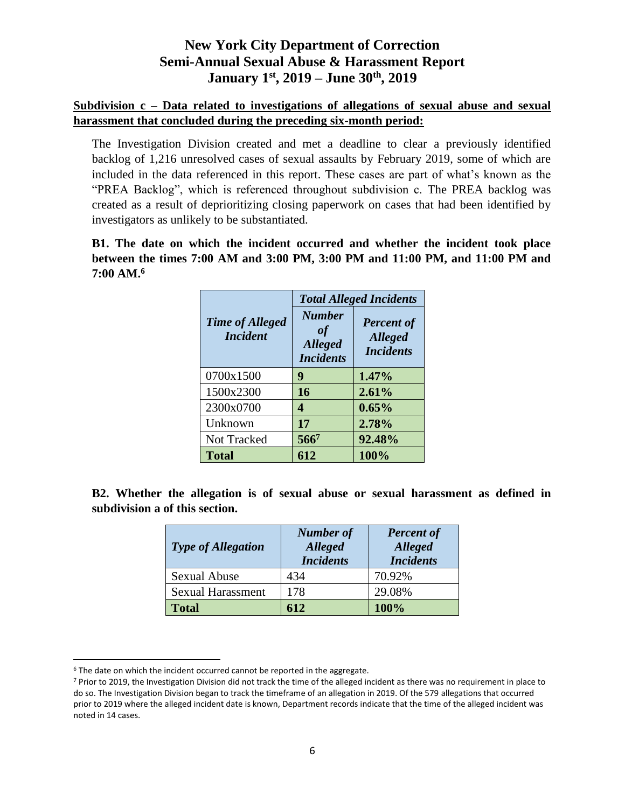### **Subdivision c – Data related to investigations of allegations of sexual abuse and sexual harassment that concluded during the preceding six-month period:**

The Investigation Division created and met a deadline to clear a previously identified backlog of 1,216 unresolved cases of sexual assaults by February 2019, some of which are included in the data referenced in this report. These cases are part of what's known as the "PREA Backlog", which is referenced throughout subdivision c. The PREA backlog was created as a result of deprioritizing closing paperwork on cases that had been identified by investigators as unlikely to be substantiated.

**B1. The date on which the incident occurred and whether the incident took place between the times 7:00 AM and 3:00 PM, 3:00 PM and 11:00 PM, and 11:00 PM and 7:00 AM.<sup>6</sup>**

|                                           | <b>Total Alleged Incidents</b>                            |                                                         |
|-------------------------------------------|-----------------------------------------------------------|---------------------------------------------------------|
| <b>Time of Alleged</b><br><i>Incident</i> | <b>Number</b><br>of<br><b>Alleged</b><br><b>Incidents</b> | <b>Percent of</b><br><b>Alleged</b><br><b>Incidents</b> |
| 0700x1500                                 | 9                                                         | 1.47%                                                   |
| 1500x2300                                 | 16                                                        | 2.61%                                                   |
| 2300x0700                                 | 4                                                         | 0.65%                                                   |
| Unknown                                   | 17                                                        | 2.78%                                                   |
| <b>Not Tracked</b>                        | 566 <sup>7</sup>                                          | 92.48%                                                  |
| <b>Total</b>                              | 612                                                       | 100%                                                    |

**B2. Whether the allegation is of sexual abuse or sexual harassment as defined in subdivision a of this section.** 

| <b>Type of Allegation</b> | <b>Number of</b><br><b>Alleged</b><br><b>Incidents</b> | <b>Percent of</b><br><b>Alleged</b><br><b>Incidents</b> |
|---------------------------|--------------------------------------------------------|---------------------------------------------------------|
| <b>Sexual Abuse</b>       | 434                                                    | 70.92%                                                  |
| <b>Sexual Harassment</b>  | 178                                                    | 29.08%                                                  |
| <b>Total</b>              | 612                                                    | 100%                                                    |

<sup>&</sup>lt;sup>6</sup> The date on which the incident occurred cannot be reported in the aggregate.

<sup>7</sup> Prior to 2019, the Investigation Division did not track the time of the alleged incident as there was no requirement in place to do so. The Investigation Division began to track the timeframe of an allegation in 2019. Of the 579 allegations that occurred prior to 2019 where the alleged incident date is known, Department records indicate that the time of the alleged incident was noted in 14 cases.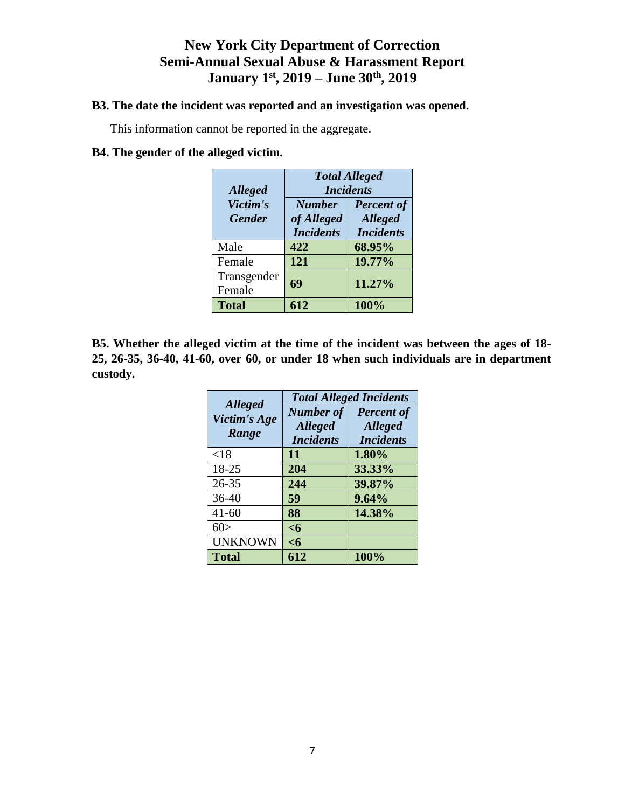#### **B3. The date the incident was reported and an investigation was opened.**

This information cannot be reported in the aggregate.

### **B4. The gender of the alleged victim.**

| <b>Alleged</b>            | <b>Total Alleged</b><br><b>Incidents</b>        |                                                         |  |  |
|---------------------------|-------------------------------------------------|---------------------------------------------------------|--|--|
| Victim's<br><b>Gender</b> | <b>Number</b><br>of Alleged<br><b>Incidents</b> | <b>Percent of</b><br><b>Alleged</b><br><b>Incidents</b> |  |  |
| Male                      | 422                                             | 68.95%                                                  |  |  |
| Female                    | 121                                             | 19.77%                                                  |  |  |
| Transgender<br>Female     | 69                                              | 11.27%                                                  |  |  |
| <b>Total</b>              | 612                                             | 100%                                                    |  |  |

**B5. Whether the alleged victim at the time of the incident was between the ages of 18- 25, 26-35, 36-40, 41-60, over 60, or under 18 when such individuals are in department custody.**

|                                | <b>Total Alleged Incidents</b> |                   |  |  |
|--------------------------------|--------------------------------|-------------------|--|--|
| <b>Alleged</b><br>Victim's Age | <b>Number of</b>               | <b>Percent of</b> |  |  |
| Range                          | <b>Alleged</b>                 | <b>Alleged</b>    |  |  |
|                                | <b>Incidents</b>               | <b>Incidents</b>  |  |  |
| <18                            | 11                             | 1.80%             |  |  |
| 18-25                          | 204                            | 33.33%            |  |  |
| $26 - 35$                      | 244                            | 39.87%            |  |  |
| $36-40$                        | 59                             | 9.64%             |  |  |
| $41 - 60$                      | 88                             | 14.38%            |  |  |
| 60>                            | $<$ 6                          |                   |  |  |
| <b>UNKNOWN</b>                 | $<$ 6                          |                   |  |  |
| <b>Total</b>                   | 612                            | 100%              |  |  |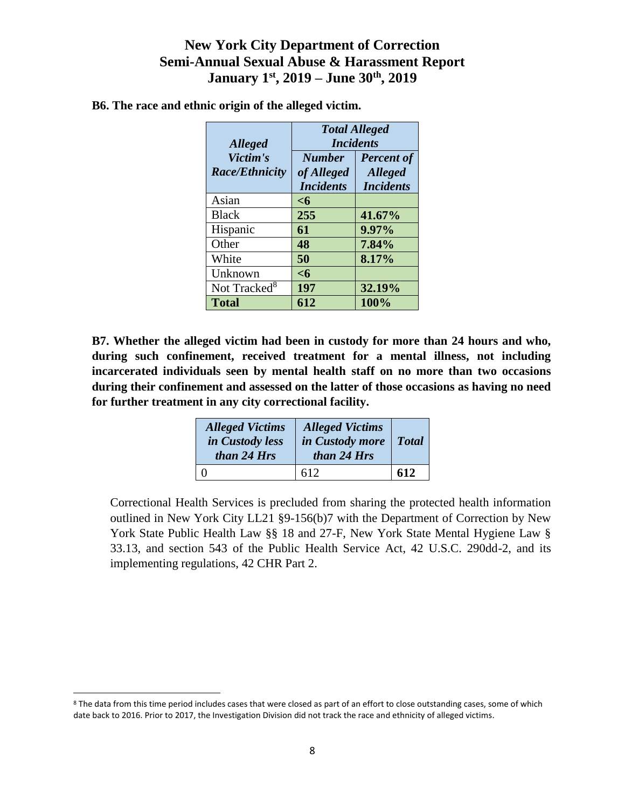| <b>Alleged</b>                    | <b>Total Alleged</b><br><b>Incidents</b>        |                                                         |  |  |
|-----------------------------------|-------------------------------------------------|---------------------------------------------------------|--|--|
| Victim's<br><b>Race/Ethnicity</b> | <b>Number</b><br>of Alleged<br><b>Incidents</b> | <b>Percent of</b><br><b>Alleged</b><br><b>Incidents</b> |  |  |
| Asian                             | $6$                                             |                                                         |  |  |
| <b>Black</b>                      | 255                                             | 41.67%                                                  |  |  |
| Hispanic                          | 61                                              | 9.97%                                                   |  |  |
| Other                             | 48                                              | 7.84%                                                   |  |  |
| White                             | 50                                              | 8.17%                                                   |  |  |
| Unknown                           | $<$ 6                                           |                                                         |  |  |
| Not Tracked <sup>8</sup>          | 197                                             | 32.19%                                                  |  |  |
| <b>Total</b>                      | 612                                             | 100%                                                    |  |  |

**B6. The race and ethnic origin of the alleged victim.** 

**B7. Whether the alleged victim had been in custody for more than 24 hours and who, during such confinement, received treatment for a mental illness, not including incarcerated individuals seen by mental health staff on no more than two occasions during their confinement and assessed on the latter of those occasions as having no need for further treatment in any city correctional facility.**

| <b>Alleged Victims</b><br>in Custody less<br>than 24 Hrs | <b>Alleged Victims</b><br>in Custody more<br>than 24 Hrs | $\vert$ Total |
|----------------------------------------------------------|----------------------------------------------------------|---------------|
|                                                          | 612                                                      | 612           |

Correctional Health Services is precluded from sharing the protected health information outlined in New York City LL21 §9-156(b)7 with the Department of Correction by New York State Public Health Law §§ 18 and 27-F, New York State Mental Hygiene Law § 33.13, and section 543 of the Public Health Service Act, 42 U.S.C. 290dd-2, and its implementing regulations, 42 CHR Part 2.

<sup>&</sup>lt;sup>8</sup> The data from this time period includes cases that were closed as part of an effort to close outstanding cases, some of which date back to 2016. Prior to 2017, the Investigation Division did not track the race and ethnicity of alleged victims.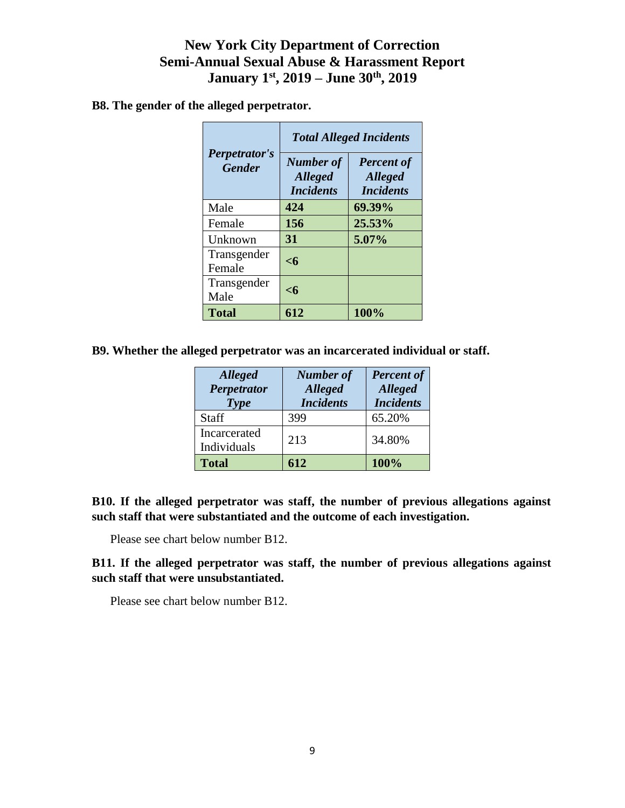**B8. The gender of the alleged perpetrator.** 

|                                       | <b>Total Alleged Incidents</b>                         |                                                         |  |  |
|---------------------------------------|--------------------------------------------------------|---------------------------------------------------------|--|--|
| <b>Perpetrator's</b><br><b>Gender</b> | <b>Number of</b><br><b>Alleged</b><br><i>Incidents</i> | <b>Percent of</b><br><b>Alleged</b><br><i>Incidents</i> |  |  |
| Male                                  | 424                                                    | 69.39%                                                  |  |  |
| Female                                | 156                                                    | 25.53%                                                  |  |  |
| Unknown                               | 31                                                     | 5.07%                                                   |  |  |
| Transgender<br>Female                 | $\leq 6$                                               |                                                         |  |  |
| Transgender<br>Male                   | $\leq 6$                                               |                                                         |  |  |
| <b>Total</b>                          | 612                                                    | 100%                                                    |  |  |

**B9. Whether the alleged perpetrator was an incarcerated individual or staff.**

| <b>Alleged</b><br><b>Perpetrator</b><br><b>Type</b> | <b>Number of</b><br><b>Alleged</b><br><b>Incidents</b> | <b>Percent of</b><br><b>Alleged</b><br><b>Incidents</b> |
|-----------------------------------------------------|--------------------------------------------------------|---------------------------------------------------------|
| <b>Staff</b>                                        | 399                                                    | 65.20%                                                  |
| Incarcerated<br>Individuals                         | 213                                                    | 34.80%                                                  |
| <b>Total</b>                                        | 612                                                    | 100%                                                    |

**B10. If the alleged perpetrator was staff, the number of previous allegations against such staff that were substantiated and the outcome of each investigation.** 

Please see chart below number B12.

**B11. If the alleged perpetrator was staff, the number of previous allegations against such staff that were unsubstantiated.** 

Please see chart below number B12.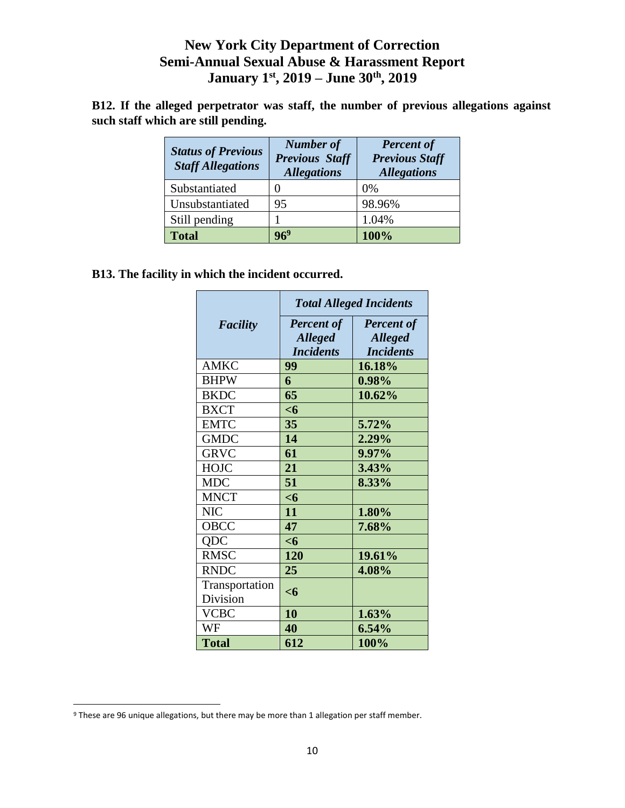|  |                                     |  |  |  |  | B12. If the alleged perpetrator was staff, the number of previous allegations against |  |
|--|-------------------------------------|--|--|--|--|---------------------------------------------------------------------------------------|--|
|  | such staff which are still pending. |  |  |  |  |                                                                                       |  |

| <b>Status of Previous</b><br><b>Staff Allegations</b> | <b>Number of</b><br><b>Previous Staff</b><br><b>Allegations</b> | <b>Percent of</b><br><b>Previous Staff</b><br><b>Allegations</b> |
|-------------------------------------------------------|-----------------------------------------------------------------|------------------------------------------------------------------|
| Substantiated                                         |                                                                 | 0%                                                               |
| Unsubstantiated                                       | 95                                                              | 98.96%                                                           |
| Still pending                                         |                                                                 | 1.04%                                                            |
| <b>Total</b>                                          | 6 <sup>9</sup>                                                  | 100%                                                             |

**B13. The facility in which the incident occurred.** 

|                 | <b>Total Alleged Incidents</b> |                   |  |  |
|-----------------|--------------------------------|-------------------|--|--|
| <b>Facility</b> | <b>Percent of</b>              | <b>Percent of</b> |  |  |
|                 | <b>Alleged</b>                 | <b>Alleged</b>    |  |  |
|                 | <b>Incidents</b>               | <b>Incidents</b>  |  |  |
| <b>AMKC</b>     | 99                             | 16.18%            |  |  |
| <b>BHPW</b>     | 6                              | 0.98%             |  |  |
| <b>BKDC</b>     | 65                             | 10.62%            |  |  |
| <b>BXCT</b>     | $<$ 6                          |                   |  |  |
| <b>EMTC</b>     | 35                             | 5.72%             |  |  |
| <b>GMDC</b>     | 14                             | 2.29%             |  |  |
| <b>GRVC</b>     | 61                             | 9.97%             |  |  |
| <b>HOJC</b>     | 21                             | 3.43%             |  |  |
| <b>MDC</b>      | 51                             | 8.33%             |  |  |
| <b>MNCT</b>     | $<$ 6                          |                   |  |  |
| NIC             | 11                             | 1.80%             |  |  |
| OBCC            | 47                             | 7.68%             |  |  |
| QDC             | <6                             |                   |  |  |
| <b>RMSC</b>     | <b>120</b>                     | 19.61%            |  |  |
| <b>RNDC</b>     | 25                             | 4.08%             |  |  |
| Transportation  | $<$ 6                          |                   |  |  |
| Division        |                                |                   |  |  |
| <b>VCBC</b>     | 10                             | 1.63%             |  |  |
| WF              | 40                             | 6.54%             |  |  |
| <b>Total</b>    | 612                            | 100%              |  |  |

l

<sup>&</sup>lt;sup>9</sup> These are 96 unique allegations, but there may be more than 1 allegation per staff member.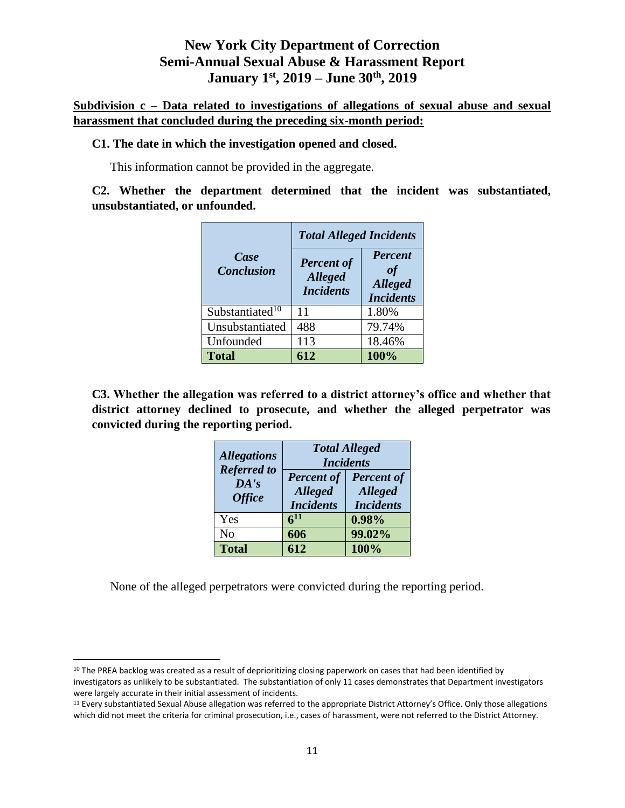**Subdivision c – Data related to investigations of allegations of sexual abuse and sexual harassment that concluded during the preceding six-month period:**

#### **C1. The date in which the investigation opened and closed.**

This information cannot be provided in the aggregate.

**C2. Whether the department determined that the incident was substantiated, unsubstantiated, or unfounded.** 

|                             | <b>Total Alleged Incidents</b>                          |                                                            |  |  |
|-----------------------------|---------------------------------------------------------|------------------------------------------------------------|--|--|
| Case<br><b>Conclusion</b>   | <b>Percent of</b><br><b>Alleged</b><br><b>Incidents</b> | <b>Percent</b><br>of<br><b>Alleged</b><br><b>Incidents</b> |  |  |
| Substantiated <sup>10</sup> | 11                                                      | 1.80%                                                      |  |  |
| Unsubstantiated             | 488                                                     | 79.74%                                                     |  |  |
| Unfounded                   | 113                                                     | 18.46%                                                     |  |  |
| <b>Total</b>                | 612                                                     | 100%                                                       |  |  |

**C3. Whether the allegation was referred to a district attorney's office and whether that district attorney declined to prosecute, and whether the alleged perpetrator was convicted during the reporting period.** 

| <b>Allegations</b><br><b>Referred to</b><br>DA's<br><b>Office</b> | <b>Total Alleged</b><br><b>Incidents</b>                |                                                         |  |
|-------------------------------------------------------------------|---------------------------------------------------------|---------------------------------------------------------|--|
|                                                                   | <b>Percent of</b><br><b>Alleged</b><br><b>Incidents</b> | <b>Percent of</b><br><b>Alleged</b><br><b>Incidents</b> |  |
| Yes                                                               | 611                                                     | 0.98%                                                   |  |
| N <sub>o</sub>                                                    | 606                                                     | 99.02%                                                  |  |
| <b>Total</b>                                                      | 612                                                     | 100%                                                    |  |

None of the alleged perpetrators were convicted during the reporting period.

 $10$  The PREA backlog was created as a result of deprioritizing closing paperwork on cases that had been identified by investigators as unlikely to be substantiated. The substantiation of only 11 cases demonstrates that Department investigators were largely accurate in their initial assessment of incidents.

<sup>&</sup>lt;sup>11</sup> Every substantiated Sexual Abuse allegation was referred to the appropriate District Attorney's Office. Only those allegations which did not meet the criteria for criminal prosecution, i.e., cases of harassment, were not referred to the District Attorney.